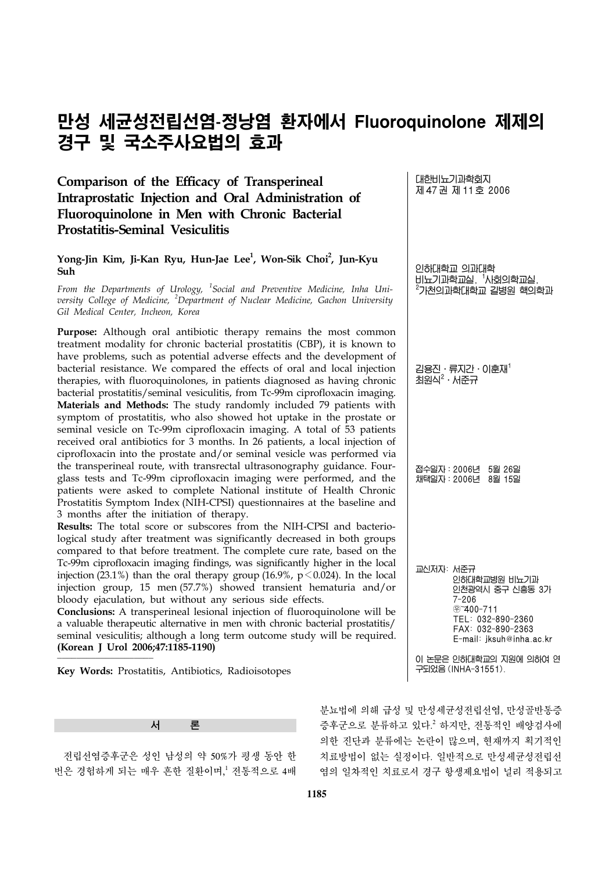# 만성 세균성전립선염-정낭염 환자에서 **Fluoroquinolone** 제제의 경구 및 국소주사요법의 효과

## **Comparison of the Efficacy of Transperineal Intraprostatic Injection and Oral Administration of Fluoroquinolone in Men with Chronic Bacterial Prostatitis-Seminal Vesiculitis**

### **Yong-Jin Kim, Ji-Kan Ryu, Hun-Jae Lee1 , Won-Sik Choi2 , Jun-Kyu Suh**

*From the Departments of Urology, <sup>1</sup> Social and Preventive Medicine, Inha University College of Medicine, <sup>2</sup> Department of Nuclear Medicine, Gachon University Gil Medical Center, Incheon, Korea*

**Purpose:** Although oral antibiotic therapy remains the most common treatment modality for chronic bacterial prostatitis (CBP), it is known to have problems, such as potential adverse effects and the development of bacterial resistance. We compared the effects of oral and local injection therapies, with fluoroquinolones, in patients diagnosed as having chronic bacterial prostatitis/seminal vesiculitis, from Tc-99m ciprofloxacin imaging. **Materials and Methods:** The study randomly included 79 patients with symptom of prostatitis, who also showed hot uptake in the prostate or seminal vesicle on Tc-99m ciprofloxacin imaging. A total of 53 patients received oral antibiotics for 3 months. In 26 patients, a local injection of ciprofloxacin into the prostate and/or seminal vesicle was performed via the transperineal route, with transrectal ultrasonography guidance. Fourglass tests and Tc-99m ciprofloxacin imaging were performed, and the patients were asked to complete National institute of Health Chronic Prostatitis Symptom Index (NIH-CPSI) questionnaires at the baseline and 3 months after the initiation of therapy.

**Results:** The total score or subscores from the NIH-CPSI and bacteriological study after treatment was significantly decreased in both groups compared to that before treatment. The complete cure rate, based on the Tc-99m ciprofloxacin imaging findings, was significantly higher in the local injection (23.1%) than the oral therapy group (16.9%,  $p < 0.024$ ). In the local injection group, 15 men (57.7%) showed transient hematuria and/or bloody ejaculation, but without any serious side effects.

**Conclusions:** A transperineal lesional injection of fluoroquinolone will be a valuable therapeutic alternative in men with chronic bacterial prostatitis/ seminal vesiculitis; although a long term outcome study will be required. **(Korean J Urol 2006;47:1185-1190)**

**Key Words:** Prostatitis, Antibiotics, Radioisotopes



 전립선염증후군은 성인 남성의 약 50%가 평생 동안 한 번은 경험하게 되는 매우 흔한 질환이며,<sup>1</sup> 전통적으로 4배

제 47 권 제 11 호 2006 인하대학교 의과대학 비뇨기과학교실, <sup>1</sup>사회의학교실,<br><sup>2</sup>가천의과학대학교 길병원 핵의학과 김용진․류지간․이훈재1 최원식 $^2$ ㆍ서준규 접수일자:2006년 5월 26일 채택일자:2006년 8월 15일 교신저자: 서준규 인하대학교병원 비뇨기과 인천광역시 중구 신흥동 3가 7-206 }400-711 TEL: 032-890-2360 FAX: 032-890-2363 E-mail: jksuh@inha.ac.kr

대한비뇨기과학회지

이 논문은 인하대학교의 지원에 의하여 연 구되었음 (INHA-31551).

분뇨법에 의해 급성 및 만성세균성전립선염, 만성골반통증 증후군으로 분류하고 있다. <sup>2</sup> 하지만, 전통적인 배양검사에 의한 진단과 분류에는 논란이 많으며, 현재까지 획기적인 치료방법이 없는 실정이다. 일반적으로 만성세균성전립선 염의 일차적인 치료로서 경구 항생제요법이 널리 적용되고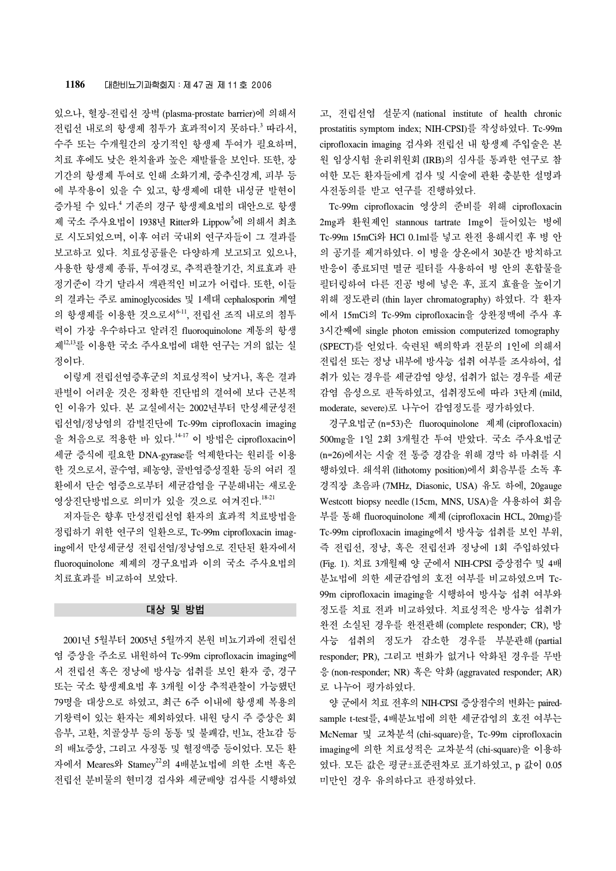있으나, 혈장-전립선 장벽 (plasma-prostate barrier)에 의해서 전립선 내로의 항생제 침투가 효과적이지 못하다. <sup>3</sup> 따라서, 수주 또는 수개월간의 장기적인 항생제 투여가 필요하며, 치료 후에도 낮은 완치율과 높은 재발률을 보인다. 또한, 장 기간의 항생제 투여로 인해 소화기계, 중추신경계, 피부 등 에 부작용이 있을 수 있고, 항생제에 대한 내성균 발현이 증가될 수 있다. <sup>4</sup> 기존의 경구 항생제요법의 대안으로 항생 제 국소 주사요법이 1938년 Ritter와 Lippow<sup>5</sup>에 의해서 최초 로 시도되었으며, 이후 여러 국내외 연구자들이 그 결과를 보고하고 있다. 치료성공률은 다양하게 보고되고 있으나, 사용한 항생제 종류, 투여경로, 추적관찰기간, 치료효과 판 정기준이 각기 달라서 객관적인 비교가 어렵다. 또한, 이들 의 결과는 주로 aminoglycosides 및 1세대 cephalosporin 계열 의 항생제를 이용한 것으로서6-11, 전립선 조직 내로의 침투 력이 가장 우수하다고 알려진 fluoroquinolone 계통의 항생 제12,13를 이용한 국소 주사요법에 대한 연구는 거의 없는 실 정이다.

 이렇게 전립선염증후군의 치료성적이 낮거나, 혹은 결과 판별이 어려운 것은 정확한 진단법의 결여에 보다 근본적 인 이유가 있다. 본 교실에서는 2002년부터 만성세균성전 립선염/정낭염의 감별진단에 Tc-99m ciprofloxacin imaging 을 처음으로 적용한 바 있다.<sup>14-17</sup> 이 방법은 ciprofloxacin이 세균 증식에 필요한 DNA-gyrase를 억제한다는 원리를 이용 한 것으로서, 골수염, 폐농양, 골반염증성질환 등의 여러 질 환에서 단순 염증으로부터 세균감염을 구분해내는 새로운 영상진단방법으로 의미가 있을 것으로 여겨진다. 18-21

 저자들은 향후 만성전립선염 환자의 효과적 치료방법을 정립하기 위한 연구의 일환으로, Tc-99m ciprofloxacin imaging에서 만성세균성 전립선염/정낭염으로 진단된 환자에서 fluoroquinolone 제제의 경구요법과 이의 국소 주사요법의 치료효과를 비교하여 보았다.

#### 대상 및 방법

 2001년 5월부터 2005년 5월까지 본원 비뇨기과에 전립선 염 증상을 주소로 내원하여 Tc-99m ciprofloxacin imaging에 서 전립선 혹은 정낭에 방사능 섭취를 보인 환자 중, 경구 또는 국소 항생제요법 후 3개월 이상 추적관찰이 가능했던 79명을 대상으로 하였고, 최근 6주 이내에 항생제 복용의 기왕력이 있는 환자는 제외하였다. 내원 당시 주 증상은 회 음부, 고환, 치골상부 등의 동통 및 불쾌감, 빈뇨, 잔뇨감 등 의 배뇨증상, 그리고 사정통 및 혈정액증 등이었다. 모든 환 자에서 Meares와 Stamey22의 4배분뇨법에 의한 소변 혹은 전립선 분비물의 현미경 검사와 세균배양 검사를 시행하였 고, 전립선염 설문지 (national institute of health chronic prostatitis symptom index; NIH-CPSI)를 작성하였다. Tc-99m ciprofloxacin imaging 검사와 전립선 내 항생제 주입술은 본 원 임상시험 윤리위원회 (IRB)의 심사를 통과한 연구로 참 여한 모든 환자들에게 검사 및 시술에 관환 충분한 설명과 사전동의를 받고 연구를 진행하였다.

 Tc-99m ciprofloxacin 영상의 준비를 위해 ciprofloxacin 2mg과 환원제인 stannous tartrate 1mg이 들어있는 병에 Tc-99m 15mCi와 HCl 0.1ml를 넣고 완전 용해시킨 후 병 안 의 공기를 제거하였다. 이 병을 상온에서 30분간 방치하고 반응이 종료되면 멸균 필터를 사용하여 병 안의 혼합물을 필터링하여 다른 진공 병에 넣은 후, 표지 효율을 높이기 위해 정도관리 (thin layer chromatography) 하였다. 각 환자 에서 15mCi의 Tc-99m ciprofloxacin을 상완정맥에 주사 후 3시간째에 single photon emission computerized tomography (SPECT)를 얻었다. 숙련된 핵의학과 전문의 1인에 의해서 전립선 또는 정낭 내부에 방사능 섭취 여부를 조사하여, 섭 취가 있는 경우를 세균감염 양성, 섭취가 없는 경우를 세균 감염 음성으로 판독하였고, 섭취정도에 따라 3단계 (mild, moderate, severe)로 나누어 감염정도를 평가하였다.

 경구요법군 (n=53)은 fluoroquinolone 제제 (ciprofloxacin) 500mg을 1일 2회 3개월간 투여 받았다. 국소 주사요법군 (n=26)에서는 시술 전 통증 경감을 위해 경막 하 마취를 시 행하였다. 쇄석위 (lithotomy position)에서 회음부를 소독 후 경직장 초음파 (7MHz, Diasonic, USA) 유도 하에, 20gauge Westcott biopsy needle (15cm, MNS, USA)을 사용하여 회음 부를 통해 fluoroquinolone 제제 (ciprofloxacin HCL, 20mg)를 Tc-99m ciprofloxacin imaging에서 방사능 섭취를 보인 부위, 즉 전립선, 정낭, 혹은 전립선과 정낭에 1회 주입하였다 (Fig. 1). 치료 3개월째 양 군에서 NIH-CPSI 증상점수 및 4배 분뇨법에 의한 세균감염의 호전 여부를 비교하였으며 Tc-99m ciprofloxacin imaging을 시행하여 방사능 섭취 여부와 정도를 치료 전과 비교하였다. 치료성적은 방사능 섭취가 완전 소실된 경우를 완전관해 (complete responder; CR), 방 사능 섭취의 정도가 감소한 경우를 부분관해 (partial responder; PR), 그리고 변화가 없거나 악화된 경우를 무반 응 (non-responder; NR) 혹은 악화 (aggravated responder; AR) 로 나누어 평가하였다.

 양 군에서 치료 전후의 NIH-CPSI 증상점수의 변화는 pairedsample t-test를, 4배분뇨법에 의한 세균감염의 호전 여부는 McNemar 및 교차분석 (chi-square)을, Tc-99m ciprofloxacin imaging에 의한 치료성적은 교차분석 (chi-square)을 이용하 였다. 모든 값은 평균±표준편차로 표기하였고, p 값이 0.05 미만인 경우 유의하다고 판정하였다.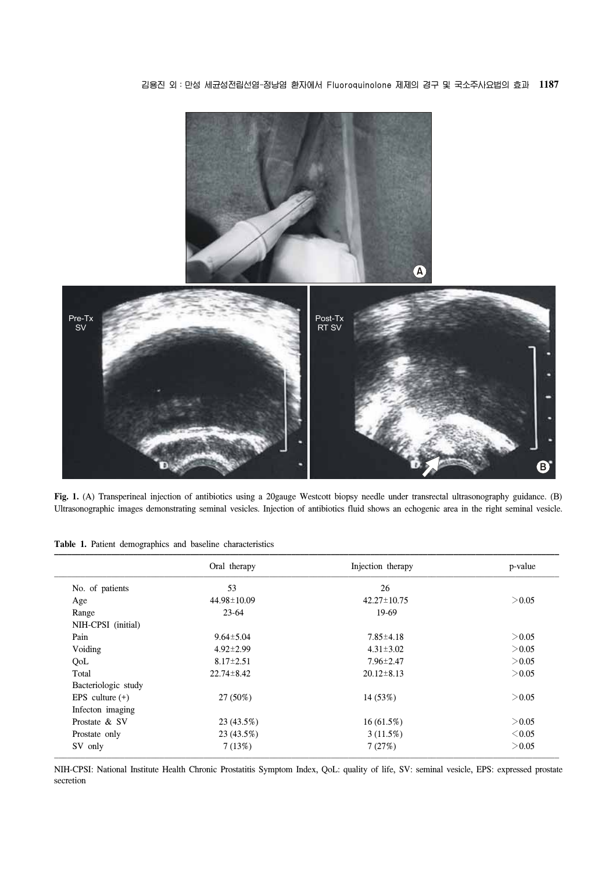김용진 외:만성 세균성전립선염-정낭염 환자에서 Fluoroquinolone 제제의 경구 및 국소주사요법의 효과 **1187**



**Fig. 1.** (A) Transperineal injection of antibiotics using a 20gauge Westcott biopsy needle under transrectal ultrasonography guidance. (B) Ultrasonographic images demonstrating seminal vesicles. Injection of antibiotics fluid shows an echogenic area in the right seminal vesicle.

**Table 1.** Patient demographics and baseline characteristics

|                     | Oral therapy      | Injection therapy | p-value     |  |
|---------------------|-------------------|-------------------|-------------|--|
| No. of patients     | 53                | 26                |             |  |
| Age                 | $44.98 \pm 10.09$ | $42.27 \pm 10.75$ | > 0.05      |  |
| Range               | $23-64$           | 19-69             |             |  |
| NIH-CPSI (initial)  |                   |                   |             |  |
| Pain                | $9.64 \pm 5.04$   | $7.85 \pm 4.18$   | > 0.05      |  |
| Voiding             | $4.92 \pm 2.99$   | $4.31 \pm 3.02$   | > 0.05      |  |
| QoL                 | $8.17 \pm 2.51$   | $7.96 \pm 2.47$   | > 0.05      |  |
| Total               | $22.74 \pm 8.42$  | $20.12 \pm 8.13$  | > 0.05      |  |
| Bacteriologic study |                   |                   |             |  |
| EPS culture $(+)$   | 27 (50%)          | 14 (53%)          | > 0.05      |  |
| Infecton imaging    |                   |                   |             |  |
| Prostate & SV       | 23 (43.5%)        | $16(61.5\%)$      | > 0.05      |  |
| Prostate only       | 23 (43.5%)        | 3(11.5%)          | $\leq 0.05$ |  |
| SV only             | 7(13%)            | 7(27%)            | > 0.05      |  |

NIH-CPSI: National Institute Health Chronic Prostatitis Symptom Index, QoL: quality of life, SV: seminal vesicle, EPS: expressed prostate secretion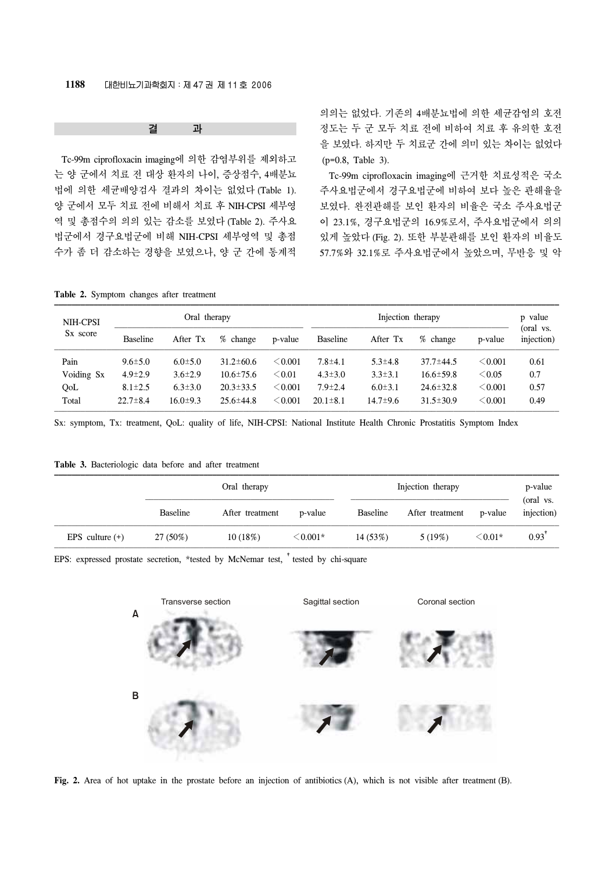#### 결 과

 Tc-99m ciprofloxacin imaging에 의한 감염부위를 제외하고 는 양 군에서 치료 전 대상 환자의 나이, 증상점수, 4배분뇨 법에 의한 세균배양검사 결과의 차이는 없었다 (Table 1). 양 군에서 모두 치료 전에 비해서 치료 후 NIH-CPSI 세부영 역 및 총점수의 의의 있는 감소를 보였다 (Table 2). 주사요 법군에서 경구요법군에 비해 NIH-CPSI 세부영역 및 총점 수가 좀 더 감소하는 경향을 보였으나, 양 군 간에 통계적

의의는 없었다. 기존의 4배분뇨법에 의한 세균감염의 호전 정도는 두 군 모두 치료 전에 비하여 치료 후 유의한 호전 을 보였다. 하지만 두 치료군 간에 의미 있는 차이는 없었다 (p=0.8, Table 3).

 Tc-99m ciprofloxacin imaging에 근거한 치료성적은 국소 주사요법군에서 경구요법군에 비하여 보다 높은 관해율을 보였다. 완전관해를 보인 환자의 비율은 국소 주사요법군 이 23.1%, 경구요법군의 16.9%로서, 주사요법군에서 의의 있게 높았다 (Fig. 2). 또한 부분관해를 보인 환자의 비율도 57.7%와 32.1%로 주사요법군에서 높았으며, 무반응 및 악

#### **Table 2.** Symptom changes after treatment

| NIH-CPSI             | Oral therapy    |                |                 | Injection therapy |                 |                |                 | p value      |                         |
|----------------------|-----------------|----------------|-----------------|-------------------|-----------------|----------------|-----------------|--------------|-------------------------|
| S <sub>x</sub> score | <b>Baseline</b> | After Tx       | % change        | p-value           | <b>Baseline</b> | After Tx       | % change        | p-value      | (oral vs.<br>injection) |
| Pain                 | $9.6 \pm 5.0$   | $6.0 \pm 5.0$  | $31.2 \pm 60.6$ | < 0.001           | $7.8 \pm 4.1$   | $5.3 \pm 4.8$  | $37.7 \pm 44.5$ | $\leq 0.001$ | 0.61                    |
| Voiding Sx           | $4.9 \pm 2.9$   | $3.6 \pm 2.9$  | $10.6 \pm 75.6$ | $<$ 0.01          | $4.3 \pm 3.0$   | $3.3 \pm 3.1$  | $16.6 \pm 59.8$ | $\leq 0.05$  | 0.7                     |
| QoL                  | $8.1 \pm 2.5$   | $6.3 \pm 3.0$  | $20.3 \pm 33.5$ | $<$ 0.001         | $7.9 \pm 2.4$   | $6.0 \pm 3.1$  | $24.6 \pm 32.8$ | $\leq 0.001$ | 0.57                    |
| Total                | $22.7 \pm 8.4$  | $16.0 \pm 9.3$ | $25.6 \pm 44.8$ | < 0.001           | $20.1 \pm 8.1$  | $14.7 \pm 9.6$ | $31.5 \pm 30.9$ | $<$ 0.001    | 0.49                    |

Sx: symptom, Tx: treatment, QoL: quality of life, NIH-CPSI: National Institute Health Chronic Prostatitis Symptom Index

#### **Table 3.** Bacteriologic data before and after treatment

|                   |                 | Oral therapy    |               |          | Injection therapy |              |                         |
|-------------------|-----------------|-----------------|---------------|----------|-------------------|--------------|-------------------------|
|                   | <b>Baseline</b> | After treatment | p-value       | Baseline | After treatment   | p-value      | (oral vs.<br>injection) |
| EPS culture $(+)$ | 27 (50%)        | 10(18%)         | $\leq 0.001*$ | 14(53%)  | 5(19%)            | $\leq 0.01*$ | $0.93$ <sup>t</sup>     |

EPS: expressed prostate secretion, \*tested by McNemar test, <sup>+</sup>tested by chi-square



**Fig. 2.** Area of hot uptake in the prostate before an injection of antibiotics (A), which is not visible after treatment (B).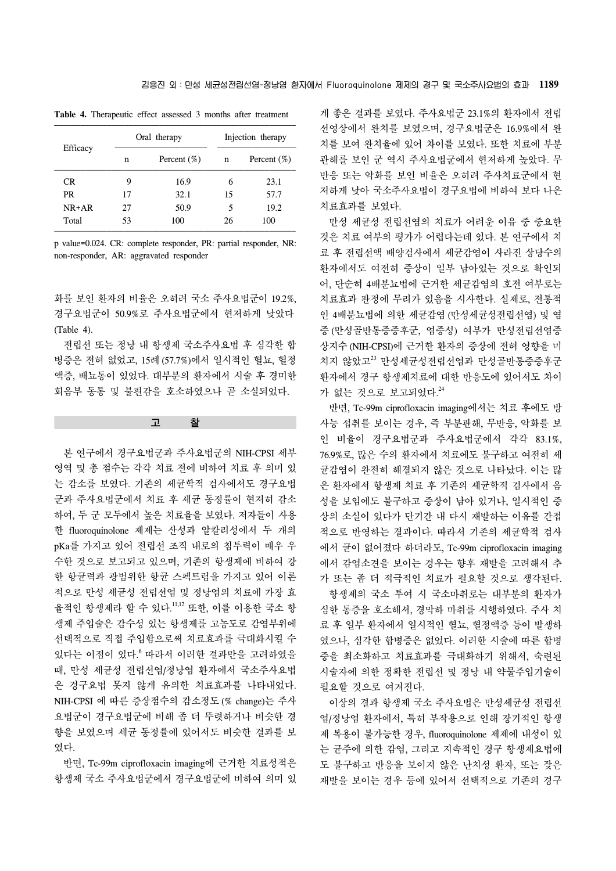|           |    | Oral therapy   | Injection therapy |                |  |
|-----------|----|----------------|-------------------|----------------|--|
| Efficacy  | n  | Percent $(\%)$ | n                 | Percent $(\%)$ |  |
| CR.       | 9  | 16.9           | 6                 | 23.1           |  |
| <b>PR</b> | 17 | 32.1           | 15                | 57.7           |  |
| $NR+AR$   | 27 | 50.9           | 5                 | 19.2           |  |
| Total     | 53 | 100            | 26                | 100            |  |

**Table 4.** Therapeutic effect assessed 3 months after treatment

p value=0.024. CR: complete responder, PR: partial responder, NR: non-responder, AR: aggravated responder

화를 보인 환자의 비율은 오히려 국소 주사요법군이 19.2%, 경구요법군이 50.9%로 주사요법군에서 현저하게 낮았다 (Table 4).

 전립선 또는 정낭 내 항생제 국소주사요법 후 심각한 합 병증은 전혀 없었고, 15례 (57.7%)에서 일시적인 혈뇨, 혈정 액증, 배뇨통이 있었다. 대부분의 환자에서 시술 후 경미한 회음부 동통 및 불편감을 호소하였으나 곧 소실되었다.

고 찰

 본 연구에서 경구요법군과 주사요법군의 NIH-CPSI 세부 영역 및 총 점수는 각각 치료 전에 비하여 치료 후 의미 있 는 감소를 보였다. 기존의 세균학적 검사에서도 경구요법 군과 주사요법군에서 치료 후 세균 동정률이 현저히 감소 하여, 두 군 모두에서 높은 치료율을 보였다. 저자들이 사용 한 fluoroquinolone 제제는 산성과 알칼리성에서 두 개의 pKa를 가지고 있어 전립선 조직 내로의 침투력이 매우 우 수한 것으로 보고되고 있으며, 기존의 항생제에 비하여 강 한 항균력과 광범위한 항균 스펙트럼을 가지고 있어 이론 적으로 만성 세균성 전립선염 및 정낭염의 치료에 가장 효 율적인 항생제라 할 수 있다. 11,12 또한, 이를 이용한 국소 항 생제 주입술은 감수성 있는 항생제를 고농도로 감염부위에 선택적으로 직접 주입함으로써 치료효과를 극대화시킬 수 있다는 이점이 있다. <sup>6</sup>따라서 이러한 결과만을 고려하였을 때, 만성 세균성 전립선염/정낭염 환자에서 국소주사요법 은 경구요법 못지 않게 유의한 치료효과를 나타내었다. NIH-CPSI 에 따른 증상점수의 감소정도 (% change)는 주사 요법군이 경구요법군에 비해 좀 더 뚜렷하거나 비슷한 경 향을 보였으며 세균 동정률에 있어서도 비슷한 결과를 보 였다.

 반면, Tc-99m ciprofloxacin imaging에 근거한 치료성적은 항생제 국소 주사요법군에서 경구요법군에 비하여 의미 있 게 좋은 결과를 보였다. 주사요법군 23.1%의 환자에서 전립 선영상에서 완치를 보였으며, 경구요법군은 16.9%에서 완 치를 보여 완치율에 있어 차이를 보였다. 또한 치료에 부분 관해를 보인 군 역시 주사요법군에서 현저하게 높았다. 무 반응 또는 악화를 보인 비율은 오히려 주사치료군에서 현 저하게 낮아 국소주사요법이 경구요법에 비하여 보다 나은 치료효과를 보였다.

 만성 세균성 전립선염의 치료가 어려운 이유 중 중요한 것은 치료 여부의 평가가 어렵다는데 있다. 본 연구에서 치 료 후 전립선액 배양검사에서 세균감염이 사라진 상당수의 환자에서도 여전히 증상이 일부 남아있는 것으로 확인되 어, 단순히 4배분뇨법에 근거한 세균감염의 호전 여부로는 치료효과 판정에 무리가 있음을 시사한다. 실제로, 전통적 인 4배분뇨법에 의한 세균감염 (만성세균성전립선염) 및 염 증 (만성골반통증증후군, 염증성) 여부가 만성전립선염증 상지수 (NIH-CPSI)에 근거한 환자의 증상에 전혀 영향을 미 치지 않았고<sup>23</sup> 만성세균성전립선염과 만성골반통증증후군 환자에서 경구 항생제치료에 대한 반응도에 있어서도 차이 가 없는 것으로 보고되었다. 24

 반면, Tc-99m ciprofloxacin imaging에서는 치료 후에도 방 사능 섭취를 보이는 경우, 즉 부분관해, 무반응, 악화를 보 인 비율이 경구요법군과 주사요법군에서 각각 83.1%, 76.9%로, 많은 수의 환자에서 치료에도 불구하고 여전히 세 균감염이 완전히 해결되지 않은 것으로 나타났다. 이는 많 은 환자에서 항생제 치료 후 기존의 세균학적 검사에서 음 성을 보임에도 불구하고 증상이 남아 있거나, 일시적인 증 상의 소실이 있다가 단기간 내 다시 재발하는 이유를 간접 적으로 반영하는 결과이다. 따라서 기존의 세균학적 검사 에서 균이 없어졌다 하더라도, Tc-99m ciprofloxacin imaging 에서 감염소견을 보이는 경우는 향후 재발을 고려해서 추 가 또는 좀 더 적극적인 치료가 필요할 것으로 생각된다. 항생제의 국소 투여 시 국소마취로는 대부분의 환자가

심한 통증을 호소해서, 경막하 마취를 시행하였다. 주사 치 료 후 일부 환자에서 일시적인 혈뇨, 혈정액증 등이 발생하 였으나, 심각한 합병증은 없었다. 이러한 시술에 따른 합병 증을 최소화하고 치료효과를 극대화하기 위해서, 숙련된 시술자에 의한 정확한 전립선 및 정낭 내 약물주입기술이 필요할 것으로 여겨진다.

 이상의 결과 항생제 국소 주사요법은 만성세균성 전립선 염/정낭염 환자에서, 특히 부작용으로 인해 장기적인 항생 제 복용이 불가능한 경우, fluoroquinolone 제제에 내성이 있 는 균주에 의한 감염, 그리고 지속적인 경구 항생제요법에 도 불구하고 반응을 보이지 않은 난치성 환자, 또는 잦은 재발을 보이는 경우 등에 있어서 선택적으로 기존의 경구